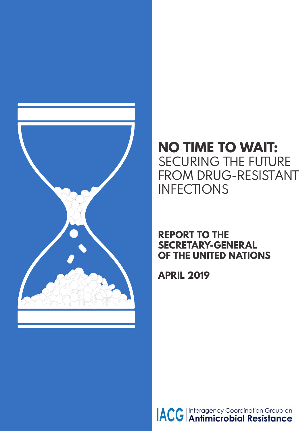

# **NO TIME TO WAIT:** SECURING THE FUTURE FROM DRUG-RESISTANT **INFECTIONS**

## **REPORT TO THE SECRETARY-GENERAL OF THE UNITED NATIONS**

**APRIL 2019**

**ACC** Interagency Coordination Group on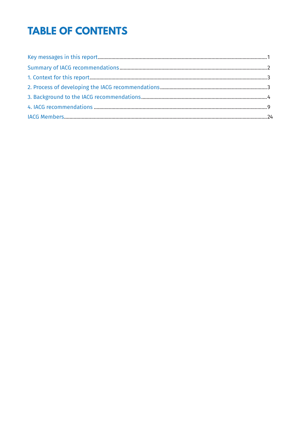# **TABLE OF CONTENTS**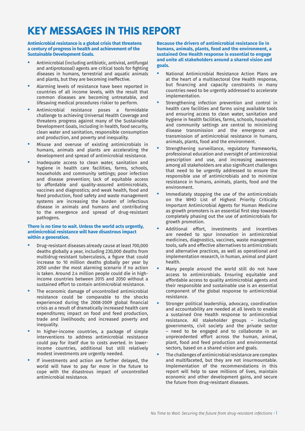# <span id="page-2-0"></span>**KEY MESSAGES IN THIS REPORT**

**Antimicrobial resistance is a global crisis that threatens a century of progress in health and achievement of the Sustainable Development Goals.**

- **•** Antimicrobial (including antibiotic, antiviral, antifungal and antiprotozoal) agents are critical tools for fighting diseases in humans, terrestrial and aquatic animals and plants, but they are becoming ineffective.
- **•** Alarming levels of resistance have been reported in countries of all income levels, with the result that common diseases are becoming untreatable, and lifesaving medical procedures riskier to perform.
- **•** Antimicrobial resistance poses a formidable challenge to achieving Universal Health Coverage and threatens progress against many of the Sustainable Development Goals, including in health, food security, clean water and sanitation, responsible consumption and production, and poverty and inequality.
- **•** Misuse and overuse of existing antimicrobials in humans, animals and plants are accelerating the development and spread of antimicrobial resistance.
- **•** Inadequate access to clean water, sanitation and hygiene in health care facilities, farms, schools, households and community settings; poor infection and disease prevention; lack of equitable access to affordable and quality-assured antimicrobials, vaccines and diagnostics; and weak health, food and feed production, food safety and waste management systems are increasing the burden of infectious disease in animals and humans and contributing to the emergence and spread of drug-resistant pathogens.

#### **There is no time to wait. Unless the world acts urgently, antimicrobial resistance will have disastrous impact within a generation.**

- **•** Drug-resistant diseases already cause at least 700,000 deaths globally a year, including 230,000 deaths from multidrug-resistant tuberculosis, a figure that could increase to 10 million deaths globally per year by 2050 under the most alarming scenario if no action is taken. Around 2.4 million people could die in highincome countries between 2015 and 2050 without a sustained effort to contain antimicrobial resistance.
- **•** The economic damage of uncontrolled antimicrobial resistance could be comparable to the shocks experienced during the 2008-2009 global financial crisis as a result of dramatically increased health care expenditures; impact on food and feed production, trade and livelihoods; and increased poverty and inequality.
- **•** In higher-income countries, a package of simple interventions to address antimicrobial resistance could pay for itself due to costs averted. In lowerincome countries, additional but still relatively modest investments are urgently needed.
- **•** If investments and action are further delayed, the world will have to pay far more in the future to cope with the disastrous impact of uncontrolled antimicrobial resistance.

**Because the drivers of antimicrobial resistance lie in humans, animals, plants, food and the environment, a sustained One Health response is essential to engage and unite all stakeholders around a shared vision and goals.**

- **•** National Antimicrobial Resistance Action Plans are at the heart of a multisectoral One Health response, but financing and capacity constraints in many countries need to be urgently addressed to accelerate implementation.
- **•** Strengthening infection prevention and control in health care facilities and farms using available tools and ensuring access to clean water, sanitation and hygiene in health facilities, farms, schools, household and community settings are central to minimizing disease transmission and the emergence and transmission of antimicrobial resistance in humans, animals, plants, food and the environment.
- **•** Strengthening surveillance, regulatory frameworks, professional education and oversight of antimicrobial prescription and use, and increasing awareness among all stakeholders are also significant challenges that need to be urgently addressed to ensure the responsible use of antimicrobials and to minimize resistance in humans, animals, plants, food and the environment.
- **•** Immediately stopping the use of the antimicrobials on the WHO List of Highest Priority Critically Important Antimicrobial Agents for Human Medicine as growth promoters is an essential first step towards completely phasing out the use of antimicrobials for growth promotion.
- **•** Additional effort, investments and incentives are needed to spur innovation in antimicrobial medicines, diagnostics, vaccines, waste management tools, safe and effective alternatives to antimicrobials and alternative practices, as well as operational and implementation research, in human, animal and plant health.
- **•** Many people around the world still do not have access to antimicrobials. Ensuring equitable and affordable access to quality antimicrobial agents and their responsible and sustainable use is an essential component of the global response to antimicrobial resistance.
- **•** Stronger political leadership, advocacy, coordination and accountability are needed at all levels to enable a sustained One Health response to antimicrobial resistance. All stakeholder groups – including governments, civil society and the private sector – need to be engaged and to collaborate in an unprecedented effort across the human, animal, plant, food and feed production and environmental sectors, based on a shared vision and goals.
- **•** The challenges of antimicrobial resistance are complex and multifaceted, but they are not insurmountable. Implementation of the recommendations in this report will help to save millions of lives, maintain economic and other development gains, and secure the future from drug-resistant diseases.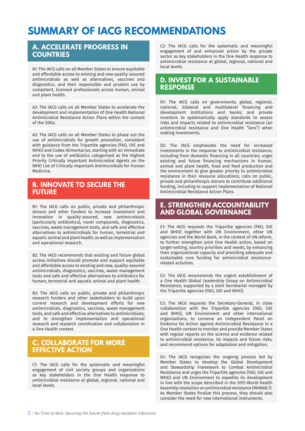# **SUMMARY OF IACG RECOMMENDATIONS**

### **A. ACCELERATE PROGRESS IN COUNTRIES**

A1: The IACG calls on all Member States to ensure equitable and affordable access to existing and new quality-assured antimicrobials as well as alternatives, vaccines and diagnostics, and their responsible and prudent use by competent, licensed professionals across human, animal and plant health.

A2: The IACG calls on all Member States to accelerate the development and implementation of One Health National Antimicrobial Resistance Action Plans within the context of the SDGs.

A3: The IACG calls on all Member States to phase out the use of antimicrobials for growth promotion, consistent with guidance from the Tripartite agencies (FAO, OIE and WHO) and Codex Alimentarius, starting with an immediate end to the use of antibiotics categorised as the Highest Priority Critically Important Antimicrobial Agents on the WHO List of Critically Important Antimicrobials for Human Medicine.

### **B. INNOVATE TO SECURE THE FUTURE**

B1: The IACG calls on public, private and philanthropic donors and other funders to increase investment and innovation in quality-assured, new antimicrobials (particularly antibiotics), novel compounds, diagnostics, vaccines, waste management tools, and safe and effective alternatives to antimicrobials for human, terrestrial and aquatic animal and plant health, as well as implementation and operational research.

B2: The IACG recommends that existing and future global access initiatives should promote and support equitable and affordable access to existing and new, quality-assured antimicrobials, diagnostics, vaccines, waste management tools and safe and effective alternatives to antibiotics for human, terrestrial and aquatic animal and plant health.

B3: The IACG calls on public, private and philanthropic research funders and other stakeholders to build upon current research and development efforts for new antimicrobials, diagnostics, vaccines, waste management tools, and safe and effective alternatives to antimicrobials; and to strengthen implementation and operational research and research coordination and collaboration in a One Health context.

### **C. COLLABORATE FOR MORE EFFECTIVE ACTION**

C1: The IACG calls for the systematic and meaningful engagement of civil society groups and organizations as key stakeholders in the One Health response to antimicrobial resistance at global, regional, national and local levels.

C2: The IACG calls for the systematic and meaningful engagement of and enhanced action by the private sector as key stakeholders in the One Health response to antimicrobial resistance at global, regional, national and local levels.

### **D. INVEST FOR A SUSTAINABLE RESPONSE**

D1: The IACG calls on governments; global, regional, national, bilateral and multilateral financing and development institutions and banks; and private investors to systematically apply standards to assess risks and impacts related to antimicrobial resistance (an antimicrobial resistance and One Health "lens") when making investments.

D2: The IACG emphasizes the need for increased investments in the response to antimicrobial resistance, including from domestic financing in all countries; urges existing and future financing mechanisms in human, animal and plant health, food and feed production and the environment to give greater priority to antimicrobial resistance in their resource allocations; calls on public, private and philanthropic donors to contribute additional funding, including to support implementation of National Antimicrobial Resistance Action Plans.

### **E. STRENGTHEN ACCOUNTABILITY AND GLOBAL GOVERNANCE**

E1: The IACG requests the Tripartite agencies (FAO, OIE and WHO) together with UN Environment, other UN agencies and the World Bank, in the context of UN reform, to further strengthen joint One Health action, based on target-setting, country priorities and needs, by enhancing their organizational capacity and providing adequate and sustainable core funding for antimicrobial resistancerelated activities.

E2: The IACG recommends the urgent establishment of a One Health Global Leadership Group on Antimicrobial Resistance, supported by a Joint Secretariat managed by the Tripartite agencies (FAO, OIE and WHO).

E3: The IACG requests the Secretary-General, in close collaboration with the Tripartite agencies (FAO, OIE and WHO), UN Environment and other international organizations, to convene an Independent Panel on Evidence for Action against Antimicrobial Resistance in a One Health context to monitor and provide Member States with regular reports on the science and evidence related to antimicrobial resistance, its impacts and future risks, and recommend options for adaptation and mitigation.

E4: The IACG recognizes the ongoing process led by Member States to develop the Global Development and Stewardship Framework to Combat Antimicrobial Resistance and urges the Tripartite agencies (FAO, OIE and WHO) and UN Environment to expedite its development in line with the scope described in the 2015 World Health Assembly resolution on antimicrobial resistance (WHA68.7). As Member States finalize this process, they should also consider the need for new international instruments.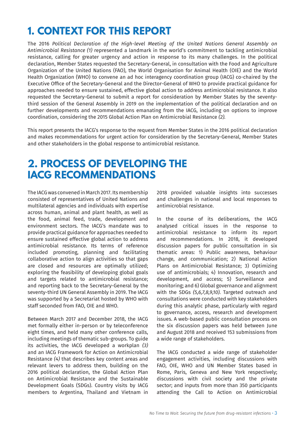# <span id="page-4-0"></span>**1. CONTEXT FOR THIS REPORT**

The 2016 *Political Declaration of the High-level Meeting of the United Nations General Assembly on [Antimicrobial Resistance \(1\)](#page-26-0)* represented a landmark in the world's commitment to tackling antimicrobial resistance, calling for greater urgency and action in response to its many challenges. In the political declaration, Member States requested the Secretary-General, in consultation with the Food and Agriculture Organization of the United Nations (FAO), the World Organisation for Animal Health (OIE) and the World Health Organization (WHO) to convene an ad hoc interagency coordination group (IACG) co-chaired by the Executive Office of the Secretary-General and the Director-General of WHO to provide practical guidance for approaches needed to ensure sustained, effective global action to address antimicrobial resistance. It also requested the Secretary-General to submit a report for consideration by Member States by the seventythird session of the General Assembly in 2019 on the implementation of the political declaration and on further developments and recommendations emanating from the IACG, including on options to improve coordination, considering the 2015 Global Action Plan on Antimicrobial Resistance *[\(2\).](#page-26-0)* 

This report presents the IACG's response to the request from Member States in the 2016 political declaration and makes recommendations for urgent action for consideration by the Secretary-General, Member States and other stakeholders in the global response to antimicrobial resistance.

# **2. PROCESS OF DEVELOPING THE IACG RECOMMENDATIONS**

The IACG was convened in March 2017. Its membership consisted of representatives of United Nations and multilateral agencies and individuals with expertise across human, animal and plant health, as well as the food, animal feed, trade, development and environment sectors. The IACG's mandate was to provide practical guidance for approaches needed to ensure sustained effective global action to address antimicrobial resistance. Its terms of reference included promoting, planning and facilitating collaborative action to align activities so that gaps are closed and resources are optimally utilized; exploring the feasibility of developing global goals and targets related to antimicrobial resistance; and reporting back to the Secretary-General by the seventy-third UN General Assembly in 2019. The IACG was supported by a Secretariat hosted by WHO with staff seconded from FAO, OIE and WHO.

Between March 2017 and December 2018, the IACG met formally either in-person or by teleconference eight times, and held many other conference calls, including meetings of thematic sub-groups. To guide its activities, the IACG developed a workplan *[\(3\)](#page-26-0)*  and an IACG Framework for Action on Antimicrobial Resistance *[\(4\)](#page-26-0)* that describes key content areas and relevant levers to address them, building on the 2016 political declaration, the Global Action Plan on Antimicrobial Resistance and the Sustainable Development Goals (SDGs). Country visits by IACG members to Argentina, Thailand and Vietnam in 2018 provided valuable insights into successes and challenges in national and local responses to antimicrobial resistance.

In the course of its deliberations, the IACG analysed critical issues in the response to antimicrobial resistance to inform its report and recommendations. In 2018, it developed discussion papers for public consultation in six thematic areas: 1) Public awareness, behaviour change, and communication; 2) National Action Plans on Antimicrobial Resistance; 3) Optimizing use of antimicrobials; 4) Innovation, research and development, and access; 5) Surveillance and monitoring; and 6) Global governance and alignment with the SDGs *[\(5,6,7,8,9,10\).](#page-26-0)* Targeted outreach and consultations were conducted with key stakeholders during this analytic phase, particularly with regard to governance, access, research and development issues. A web-based public consultation process on the six discussion papers was held between June and August 2018 and received 153 submissions from a wide range of stakeholders.

The IACG conducted a wide range of stakeholder engagement activities, including discussions with FAO, OIE, WHO and UN Member States based in Rome, Paris, Geneva and New York respectively; discussions with civil society and the private sector; and inputs from more than 350 participants attending the Call to Action on Antimicrobial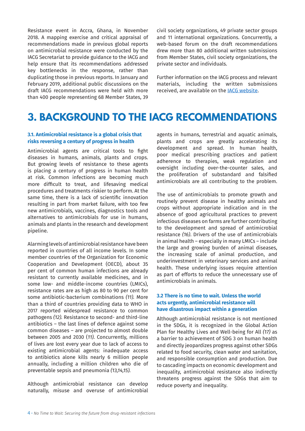<span id="page-5-0"></span>Resistance event in Accra, Ghana, in November 2018. A mapping exercise and critical appraisal of recommendations made in previous global reports on antimicrobial resistance were conducted by the IACG Secretariat to provide guidance to the IACG and help ensure that its recommendations addressed key bottlenecks in the response, rather than duplicating those in previous reports. In January and February 2019, additional public discussions on the draft IACG recommendations were held with more than 400 people representing 68 Member States, 39

civil society organizations, 49 private sector groups and 11 international organizations. Concurrently, a web-based forum on the draft recommendations drew more than 80 additional written submissions from Member States, civil society organizations, the private sector and individuals.

Further information on the IACG process and relevant materials, including the written submissions received, are available on the [IACG website](https://www.who.int/antimicrobial-resistance/interagency-coordination-group/en/).

# **3. BACKGROUND TO THE IACG RECOMMENDATIONS**

### **3.1. Antimicrobial resistance is a global crisis that risks reversing a century of progress in health**

Antimicrobial agents are critical tools to fight diseases in humans, animals, plants and crops. But growing levels of resistance to these agents is placing a century of progress in human health at risk. Common infections are becoming much more difficult to treat, and lifesaving medical procedures and treatments riskier to perform. At the same time, there is a lack of scientific innovation resulting in part from market failure, with too few new antimicrobials, vaccines, diagnostics tools and alternatives to antimicrobials for use in humans, animals and plants in the research and development pipeline.

Alarming levels of antimicrobial resistance have been reported in countries of all income levels. In some member countries of the Organization for Economic Cooperation and Development (OECD), about 35 per cent of common human infections are already resistant to currently available medicines, and in some low- and middle-income countries (LMICs), resistance rates are as high as 80 to 90 per cent for some antibiotic-bacterium combinations *[\(11\).](#page-26-0)* More than a third of countries providing data to WHO in 2017 reported widespread resistance to common pathogens *[\(12\).](#page-26-0)* Resistance to second- and third-line antibiotics – the last lines of defence against some common diseases – are projected to almost double between 2005 and 2030 (*11).* Concurrently, millions of lives are lost every year due to lack of access to existing antimicrobial agents: inadequate access to antibiotics alone kills nearly 6 million people annually, including a million children who die of preventable sepsis and pneumonia *[\(13,14,15\).](#page-26-0)* 

Although antimicrobial resistance can develop naturally, misuse and overuse of antimicrobial agents in humans, terrestrial and aquatic animals, plants and crops are greatly accelerating its development and spread. In human health, poor medical prescribing practices and patient adherence to therapies, weak regulation and oversight including over-the-counter sales, and the proliferation of substandard and falsified antimicrobials are all contributing to the problem.

The use of antimicrobials to promote growth and routinely prevent disease in healthy animals and crops without appropriate indication and in the absence of good agricultural practices to prevent infectious diseases on farms are further contributing to the development and spread of antimicrobial resistance *[\(16\)](#page-26-0)*. Drivers of the use of antimicrobials in animal health – especially in many LMICs – include the large and growing burden of animal diseases, the increasing scale of animal production, and underinvestment in veterinary services and animal health. These underlying issues require attention as part of efforts to reduce the unnecessary use of antimicrobials in animals.

### **3.2 There is no time to wait. Unless the world acts urgently, antimicrobial resistance will have disastrous impact within a generation**

Although antimicrobial resistance is not mentioned in the SDGs, it is recognized in the Global Action Plan for Healthy Lives and Well-being for All *[\(17\)](#page-26-0)* as a barrier to achievement of SDG 3 on human health and directly jeopardizes progress against other SDGs related to food security, clean water and sanitation, and responsible consumption and production. Due to cascading impacts on economic development and inequality, antimicrobial resistance also indirectly threatens progress against the SDGs that aim to reduce poverty and inequality.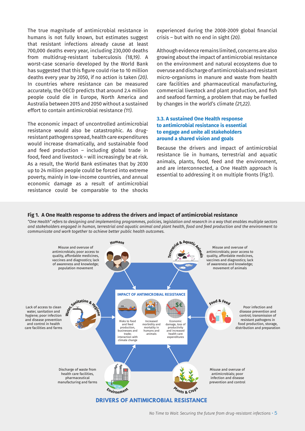<span id="page-6-0"></span>The true magnitude of antimicrobial resistance in humans is not fully known, but estimates suggest that resistant infections already cause at least 700,000 deaths every year, including 230,000 deaths from multidrug-resistant tuberculosis *[\(18,19\)](#page-26-0)*. A worst-case scenario developed by the World Bank has suggested that this figure could rise to 10 million deaths every year by 2050, if no action is taken *[\(20\)](#page-26-0)*. In countries where resistance can be measured accurately, the OECD predicts that around 2.4 million people could die in Europe, North America and Australia between 2015 and 2050 without a sustained effort to contain antimicrobial resistance *(11).*

The economic impact of uncontrolled antimicrobial resistance would also be catastrophic. As drugresistant pathogens spread, health care expenditures would increase dramatically, and sustainable food and feed production – including global trade in food, feed and livestock – will increasingly be at risk. As a result, the World Bank estimates that by 2030 up to 24 million people could be forced into extreme poverty, mainly in low-income countries, and annual economic damage as a result of antimicrobial resistance could be comparable to the shocks

experienced during the 2008-2009 global financial crisis – but with no end in sight *(20).*

Although evidence remains limited, concerns are also growing about the impact of antimicrobial resistance on the environment and natural ecosystems due to overuse and discharge of antimicrobials and resistant micro-organisms in manure and waste from health care facilities and pharmaceutical manufacturing, commercial livestock and plant production, and fish and seafood farming, a problem that may be fuelled by changes in the world's climate *[\(21,22\)](#page-26-0)*.

### **3.3. A sustained One Health response to antimicrobial resistance is essential to engage and unite all stakeholders around a shared vision and goals**

Because the drivers and impact of antimicrobial resistance lie in humans, terrestrial and aquatic animals, plants, food, feed and the environment, and are interconnected, a One Health approach is essential to addressing it on multiple fronts (Fig.1).

### **Fig 1. A One Health response to address the drivers and impact of antimicrobial resistance**

*"One Health" refers to designing and implementing programmes, policies, legislation and research in a way that enables multiple sectors and stakeholders engaged in human, terrestrial and aquatic animal and plant health, food and feed production and the environment to communicate and work together to achieve better public health outcomes.*

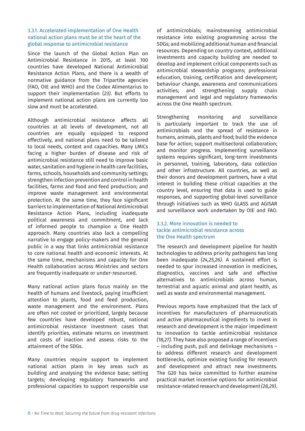### <span id="page-7-0"></span>3.3.1. Accelerated implementation of One Health national action plans must be at the heart of the global response to antimicrobial resistance

Since the launch of the Global Action Plan on Antimicrobial Resistance in 2015, at least 100 countries have developed National Antimicrobial Resistance Action Plans, and there is a wealth of normative guidance from the Tripartite agencies (FAO, OIE and WHO) and the Codex Alimentarius to support their implementation (*[23\)](#page-26-0)*. But efforts to implement national action plans are currently too slow and must be accelerated.

Although antimicrobial resistance affects all countries at all levels of development, not all countries are equally equipped to respond effectively, and national plans need to be tailored to local needs, context and capacities. Many LMICs facing a higher burden of disease and risk of antimicrobial resistance still need to improve basic water, sanitation and hygiene in health care facilities, farms, schools, households and community settings; strengthen infection prevention and control in health facilities, farms and food and feed production; and improve waste management and environmental protection. At the same time, they face significant barriers to implementation of National Antimicrobial Resistance Action Plans, including inadequate political awareness and commitment, and lack of informed people to champion a One Health approach. Many countries also lack a compelling narrative to engage policy-makers and the general public in a way that links antimicrobial resistance to core national health and economic interests. At the same time, mechanisms and capacity for One Health collaboration across Ministries and sectors are frequently inadequate or under-resourced.

Many national action plans focus mainly on the health of humans and livestock, paying insufficient attention to plants, food and feed production, waste management and the environment. Plans are often not costed or prioritized, largely because few countries have developed robust, national antimicrobial resistance investment cases that identify priorities, estimate returns on investment and costs of inaction and assess risks to the attainment of the SDGs.

Many countries require support to implement national action plans in key areas such as building and analysing the evidence base; setting targets; developing regulatory frameworks and professional capacities to support responsible use of antimicrobials; mainstreaming antimicrobial resistance into existing programming across the SDGs; and mobilizing additional human and financial resources. Depending on country context, additional investments and capacity building are needed to develop and implement critical components such as antimicrobial stewardship programs; professional education, training, certification and development; behaviour change, awareness and communications activities; and strengthening supply chain management and legal and regulatory frameworks across the One Health spectrum.

Strengthening monitoring and surveillance is particularly important to track the use of antimicrobials and the spread of resistance in humans, animals, plants and food; build the evidence base for action; support multisectoral collaboration; and monitor progress. Implementing surveillance systems requires significant, long-term investments in personnel, training, laboratory, data collection and other infrastructure. All countries, as well as their donors and development partners, have a vital interest in building these critical capacities at the country level, ensuring that data is used to guide responses, and supporting global-level surveillance through initiatives such as WHO GLASS and AGISAR and surveillance work undertaken by OIE and FAO.

### 3.3.2. More innovation is needed to tackle antimicrobial resistance across the One Health spectrum

The research and development pipeline for health technologies to address priority pathogens has long been inadequate *[\(24,25,26\)](#page-26-0)*. A sustained effort is needed to spur increased innovation in medicines, diagnostics, vaccines and safe and effective alternatives to antimicrobials across human, terrestrial and aquatic animal and plant health, as well as waste and environmental management.

Previous reports have emphasized that the lack of incentives for manufacturers of pharmaceuticals and active pharmaceutical ingredients to invest in research and development is the major impediment to innovation to tackle antimicrobial resistance *[\(18,27\)](#page-26-0)*. They have also proposed a range of incentives – including push, pull and delinkage mechanisms – to address different research and development bottlenecks, optimize existing funding for research and development and attract new investments. The G20 has twice committed to further examine practical market incentive options for antimicrobial resistance-related research and development *[\(28,29\)](#page-26-0)*.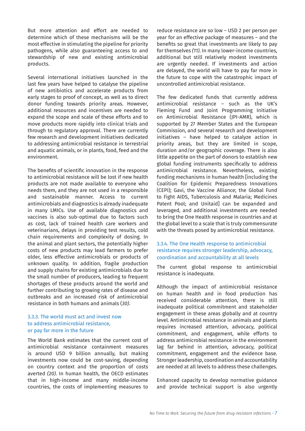<span id="page-8-0"></span>But more attention and effort are needed to determine which of these mechanisms will be the most effective in stimulating the pipeline for priority pathogens, while also guaranteeing access to and stewardship of new and existing antimicrobial products.

Several international initiatives launched in the last few years have helped to catalyse the pipeline of new antibiotics and accelerate products from early stages to proof of concept, as well as to direct donor funding towards priority areas. However, additional resources and incentives are needed to expand the scope and scale of these efforts and to move products more rapidly into clinical trials and through to regulatory approval. There are currently few research and development initiatives dedicated to addressing antimicrobial resistance in terrestrial and aquatic animals, or in plants, food, feed and the environment.

The benefits of scientific innovation in the response to antimicrobial resistance will be lost if new health products are not made available to everyone who needs them, and they are not used in a responsible and sustainable manner. Access to current antimicrobials and diagnostics is already inadequate in many LMICs. Use of available diagnostics and vaccines is also sub-optimal due to factors such as cost, lack of trained health care workers and veterinarians, delays in providing test results, cold chain requirements and complexity of dosing. In the animal and plant sectors, the potentially higher costs of new products may lead farmers to prefer older, less effective antimicrobials or products of unknown quality. In addition, fragile production and supply chains for existing antimicrobials due to the small number of producers, leading to frequent shortages of these products around the world and further contributing to growing rates of disease and outbreaks and an increased risk of antimicrobial resistance in both humans and animals (*[30\)](#page-26-0)*.

### 3.3.3. The world must act and invest now to address antimicrobial resistance, or pay far more in the future

The World Bank estimates that the current cost of antimicrobial resistance containment measures is around USD 9 billion annually, but making investments now could be cost-saving, depending on country context and the proportion of costs averted *(20)*. In human health, the OECD estimates that in high-income and many middle-income countries, the costs of implementing measures to

reduce resistance are so low – USD 2 per person per year for an effective package of measures – and the benefits so great that investments are likely to pay for themselves *(11)*. In many lower-income countries, additional but still relatively modest investments are urgently needed. If investments and action are delayed, the world will have to pay far more in the future to cope with the catastrophic impact of uncontrolled antimicrobial resistance.

The few dedicated funds that currently address antimicrobial resistance – such as the UK's Fleming Fund and Joint Programming Initiative on Antimicrobial Resistance (JPI-AMR), which is supported by 27 Member States and the European Commission, and several research and development initiatives – have helped to catalyze action in priority areas, but they are limited in scope, duration and/or geographic coverage. There is also little appetite on the part of donors to establish new global funding instruments specifically to address antimicrobial resistance. Nevertheless, existing funding mechanisms in human health [including the Coalition for Epidemic Preparedness Innovations (CEPI); Gavi, the Vaccine Alliance; the Global Fund to Fight AIDS, Tuberculosis and Malaria; Medicines Patent Pool; and Unitaid] can be expanded and leveraged, and additional investments are needed to bring the One Health response in countries and at the global level to a scale that is truly commensurate with the threats posed by antimicrobial resistance.

### 3.3.4. The One Health response to antimicrobial resistance requires stronger leadership, advocacy, coordination and accountability at all levels

The current global response to antimicrobial resistance is inadequate.

Although the impact of antimicrobial resistance on human health and in food production has received considerable attention, there is still inadequate political commitment and stakeholder engagement in these areas globally and at country level. Antimicrobial resistance in animals and plants requires increased attention, advocacy, political commitment, and engagement, while efforts to address antimicrobial resistance in the environment lag far behind in attention, advocacy, political commitment, engagement and the evidence base. Stronger leadership, coordination and accountability are needed at all levels to address these challenges.

Enhanced capacity to develop normative guidance and provide technical support is also urgently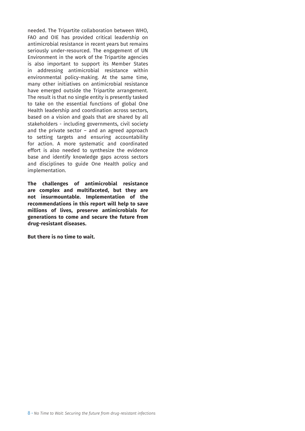needed. The Tripartite collaboration between WHO, FAO and OIE has provided critical leadership on antimicrobial resistance in recent years but remains seriously under-resourced. The engagement of UN Environment in the work of the Tripartite agencies is also important to support its Member States in addressing antimicrobial resistance within environmental policy-making. At the same time, many other initiatives on antimicrobial resistance have emerged outside the Tripartite arrangement. The result is that no single entity is presently tasked to take on the essential functions of global One Health leadership and coordination across sectors, based on a vision and goals that are shared by all stakeholders - including governments, civil society and the private sector  $-$  and an agreed approach to setting targets and ensuring accountability for action. A more systematic and coordinated effort is also needed to synthesize the evidence base and identify knowledge gaps across sectors and disciplines to guide One Health policy and implementation.

**The challenges of antimicrobial resistance are complex and multifaceted, but they are not insurmountable. Implementation of the recommendations in this report will help to save millions of lives, preserve antimicrobials for generations to come and secure the future from drug-resistant diseases.** 

**But there is no time to wait.**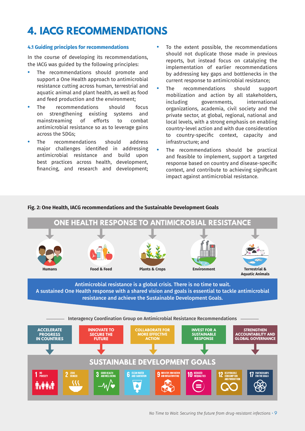# <span id="page-10-0"></span>**4. IACG RECOMMENDATIONS**

### **4.1 Guiding principles for recommendations**

In the course of developing its recommendations, the IACG was guided by the following principles:

- **•** The recommendations should promote and support a One Health approach to antimicrobial resistance cutting across human, terrestrial and aquatic animal and plant health, as well as food and feed production and the environment;
- **•** The recommendations should focus on strengthening existing systems and mainstreaming of efforts to combat antimicrobial resistance so as to leverage gains across the SDGs;
- **•** The recommendations should address major challenges identified in addressing antimicrobial resistance and build upon best practices across health, development, financing, and research and development;
- **•** To the extent possible, the recommendations should not duplicate those made in previous reports, but instead focus on catalyzing the implementation of earlier recommendations by addressing key gaps and bottlenecks in the current response to antimicrobial resistance;
- **•** The recommendations should support mobilization and action by all stakeholders, including governments, international organizations, academia, civil society and the private sector, at global, regional, national and local levels, with a strong emphasis on enabling country-level action and with due consideration to country-specific context, capacity and infrastructure; and
- **•** The recommendations should be practical and feasible to implement, support a targeted response based on country and disease-specific context, and contribute to achieving significant impact against antimicrobial resistance.

### **Fig. 2: One Health, IACG recommendations and the Sustainable Development Goals**



*No Time to Wait: Securing the future from drug-resistant infections* • 9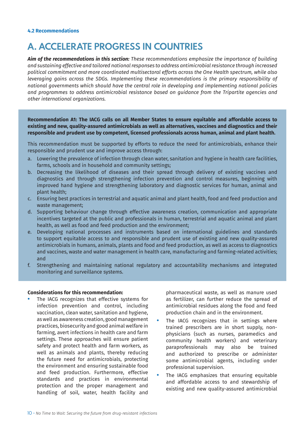## **A. ACCELERATE PROGRESS IN COUNTRIES**

*Aim of the recommendations in this section: These recommendations emphasize the importance of building and sustaining effective and tailored national responses to address antimicrobial resistance through increased political commitment and more coordinated multisectoral efforts across the One Health spectrum, while also leveraging gains across the SDGs. Implementing these recommendations is the primary responsibility of national governments which should have the central role in developing and implementing national policies and programmes to address antimicrobial resistance based on guidance from the Tripartite agencies and other international organizations.*

**Recommendation A1: The IACG calls on all Member States to ensure equitable and affordable access to existing and new, quality-assured antimicrobials as well as alternatives, vaccines and diagnostics and their responsible and prudent use by competent, licensed professionals across human, animal and plant health.** 

This recommendation must be supported by efforts to reduce the need for antimicrobials, enhance their responsible and prudent use and improve access through:

- a. Lowering the prevalence of infection through clean water, sanitation and hygiene in health care facilities, farms, schools and in household and community settings;
- b. Decreasing the likelihood of diseases and their spread through delivery of existing vaccines and diagnostics and through strengthening infection prevention and control measures, beginning with improved hand hygiene and strengthening laboratory and diagnostic services for human, animal and plant health;
- c. Ensuring best practices in terrestrial and aquatic animal and plant health, food and feed production and waste management;
- d. Supporting behaviour change through effective awareness creation, communication and appropriate incentives targeted at the public and professionals in human, terrestrial and aquatic animal and plant health, as well as food and feed production and the environment;
- e. Developing national processes and instruments based on international guidelines and standards to support equitable access to and responsible and prudent use of existing and new quality-assured antimicrobials in humans, animals, plants and food and feed production, as well as access to diagnostics and vaccines, waste and water management in health care, manufacturing and farming-related activities; and
- f. Strengthening and maintaining national regulatory and accountability mechanisms and integrated monitoring and surveillance systems.

### **Considerations for this recommendation:**

**•** The IACG recognizes that effective systems for infection prevention and control, including vaccination, clean water, sanitation and hygiene, as well as awareness creation, good management practices, biosecurity and good animal welfare in farming, avert infections in health care and farm settings. These approaches will ensure patient safety and protect health and farm workers, as well as animals and plants, thereby reducing the future need for antimicrobials, protecting the environment and ensuring sustainable food and feed production. Furthermore, effective standards and practices in environmental protection and the proper management and handling of soil, water, health facility and pharmaceutical waste, as well as manure used as fertilizer, can further reduce the spread of antimicrobial residues along the food and feed production chain and in the environment.

- The IACG recognizes that in settings where trained prescribers are in short supply, nonphysicians (such as nurses, paramedics and community health workers) and veterinary paraprofessionals may also be trained and authorized to prescribe or administer some antimicrobial agents, including under professional supervision.
- **•** The IACG emphasizes that ensuring equitable and affordable access to and stewardship of existing and new quality-assured antimicrobial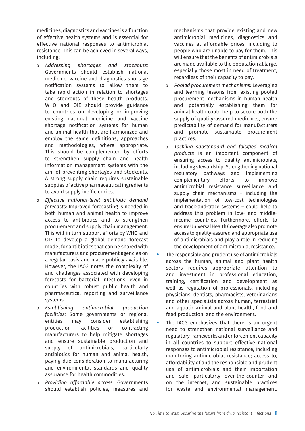medicines, diagnostics and vaccines is a function of effective health systems and is essential for effective national responses to antimicrobial resistance. This can be achieved in several ways, including:

- o *Addressing shortages and stockouts:* Governments should establish national medicine, vaccine and diagnostics shortage notification systems to allow them to take rapid action in relation to shortages and stockouts of these health products. WHO and OIE should provide guidance to countries on developing or improving existing national medicine and vaccine shortage notification systems for human and animal health that are harmonized and employ the same definitions, approaches and methodologies, where appropriate. This should be complemented by efforts to strengthen supply chain and health information management systems with the aim of preventing shortages and stockouts. A strong supply chain requires sustainable supplies of active pharmaceutical ingredients to avoid supply inefficiencies.
- o *Effective national-level antibiotic demand forecasts:* Improved forecasting is needed in both human and animal health to improve access to antibiotics and to strengthen procurement and supply chain management. This will in turn support efforts by WHO and OIE to develop a global demand forecast model for antibiotics that can be shared with manufacturers and procurement agencies on a regular basis and made publicly available. However, the IACG notes the complexity of and challenges associated with developing forecasts for bacterial infections, even in countries with robust public health and pharmaceutical reporting and surveillance systems.
- o *Establishing antimicrobial production facilities:* Some governments or regional entities may consider establishing production facilities or contracting manufacturers to help mitigate shortages and ensure sustainable production and supply of antimicrobials, particularly antibiotics for human and animal health, paying due consideration to manufacturing and environmental standards and quality assurance for health commodities.
- o *Providing affordable access:* Governments should establish policies, measures and

mechanisms that provide existing and new antimicrobial medicines, diagnostics and vaccines at affordable prices, including to people who are unable to pay for them. This will ensure that the benefits of antimicrobials are made available to the population at large, especially those most in need of treatment, regardless of their capacity to pay.

- o *Pooled procurement mechanisms:* Leveraging and learning lessons from existing pooled procurement mechanisms in human health and potentially establishing them for animal health could help to secure both the supply of quality-assured medicines, ensure predictability of demand for manufacturers and promote sustainable procurement practices.
- o *Tackling substandard and falsified medical products* is an important component of ensuring access to quality antimicrobials, including stewardship. Strengthening national regulatory pathways and implementing complementary efforts to improve antimicrobial resistance surveillance and supply chain mechanisms – including the implementation of low-cost technologies and track-and-trace systems – could help to address this problem in low- and middleincome countries. Furthermore, efforts to ensure Universal Health Coverage also promote access to quality-assured and appropriate use of antimicrobials and play a role in reducing the development of antimicrobial resistance.
- **•** The responsible and prudent use of antimicrobials across the human, animal and plant health sectors requires appropriate attention to and investment in professional education, training, certification and development as well as regulation of professionals, including physicians, dentists, pharmacists, veterinarians and other specialists across human, terrestrial and aquatic animal and plant health, food and feed production, and the environment.
- **•** The IACG emphasizes that there is an urgent need to strengthen national surveillance and regulatory frameworks and enforcement capacity in all countries to support effective national responses to antimicrobial resistance, including monitoring antimicrobial resistance; access to, affordability of and the responsible and prudent use of antimicrobials and their importation and sale, particularly over-the-counter and on the internet, and sustainable practices for waste and environmental management.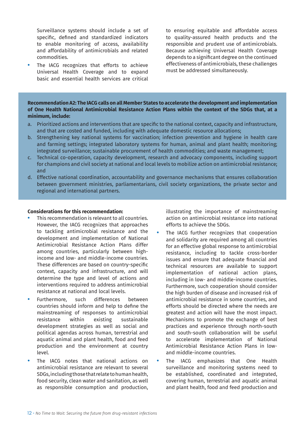Surveillance systems should include a set of specific, defined and standardized indicators to enable monitoring of access, availability and affordability of antimicrobials and related commodities.

**•** The IACG recognizes that efforts to achieve Universal Health Coverage and to expand basic and essential health services are critical to ensuring equitable and affordable access to quality-assured health products and the responsible and prudent use of antimicrobials. Because achieving Universal Health Coverage depends to a significant degree on the continued effectiveness of antimicrobials, these challenges must be addressed simultaneously.

**Recommendation A2: The IACG calls on all Member States to accelerate the development and implementation of One Health National Antimicrobial Resistance Action Plans within the context of the SDGs that, at a minimum, include:**

- a. Prioritized actions and interventions that are specific to the national context, capacity and infrastructure, and that are costed and funded, including with adequate domestic resource allocations;
- b. Strengthening key national systems for vaccination; infection prevention and hygiene in health care and farming settings; integrated laboratory systems for human, animal and plant health; monitoring; integrated surveillance; sustainable procurement of health commodities; and waste management;
- c. Technical co-operation, capacity development, research and advocacy components, including support for champions and civil society at national and local levels to mobilize action on antimicrobial resistance; and
- d. Effective national coordination, accountability and governance mechanisms that ensures collaboration between government ministries, parliamentarians, civil society organizations, the private sector and regional and international partners.

### **Considerations for this recommendation:**

- **•** This recommendation is relevant to all countries. However, the IACG recognizes that approaches to tackling antimicrobial resistance and the development and implementation of National Antimicrobial Resistance Action Plans differ among countries, particularly between highincome and low- and middle-income countries. These differences are based on country-specific context, capacity and infrastructure, and will determine the type and level of actions and interventions required to address antimicrobial resistance at national and local levels.
- **•** Furthermore, such differences between countries should inform and help to define the mainstreaming of responses to antimicrobial resistance within existing sustainable development strategies as well as social and political agendas across human, terrestrial and aquatic animal and plant health, food and feed production and the environment at country level.
- **•** The IACG notes that national actions on antimicrobial resistance are relevant to several SDGs, including those that relate to human health, food security, clean water and sanitation, as well as responsible consumption and production,

illustrating the importance of mainstreaming action on antimicrobial resistance into national efforts to achieve the SDGs.

- **•** The IACG further recognizes that cooperation and solidarity are required among all countries for an effective global response to antimicrobial resistance, including to tackle cross-border issues and ensure that adequate financial and technical resources are available to support implementation of national action plans, including in low- and middle-income countries. Furthermore, such cooperation should consider the high burden of disease and increased risk of antimicrobial resistance in some countries, and efforts should be directed where the needs are greatest and action will have the most impact. Mechanisms to promote the exchange of best practices and experience through north-south and south-south collaboration will be useful to accelerate implementation of National Antimicrobial Resistance Action Plans in lowand middle-income countries.
- **•** The IACG emphasizes that One Health surveillance and monitoring systems need to be established, coordinated and integrated, covering human, terrestrial and aquatic animal and plant health, food and feed production and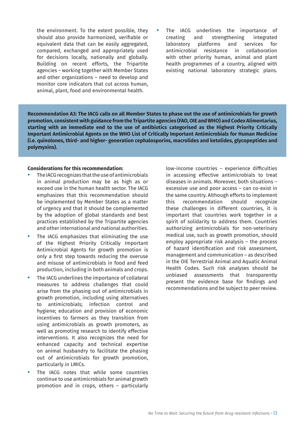the environment. To the extent possible, they should also provide harmonized, verifiable or equivalent data that can be easily aggregated, compared, exchanged and appropriately used for decisions locally, nationally and globally. Building on recent efforts, the Tripartite agencies – working together with Member States and other organizations – need to develop and monitor core indicators that cut across human, animal, plant, food and environmental health.

**•** The IACG underlines the importance of creating and strengthening integrated laboratory platforms and services for antimicrobial resistance in collaboration with other priority human, animal and plant health programmes of a country, aligned with existing national laboratory strategic plans.

**Recommendation A3: The IACG calls on all Member States to phase out the use of antimicrobials for growth promotion, consistent with guidance from the Tripartite agencies (FAO, OIE and WHO) and Codex Alimentarius, starting with an immediate end to the use of antibiotics categorised as the Highest Priority Critically Important Antimicrobial Agents on the WHO List of Critically Important Antimicrobials for Human Medicine (i.e. quinolones, third- and higher- generation cephalosporins, macrolides and ketolides, glycopeptides and polymyxins).**

### **Considerations for this recommendation:**

- **•** The IACG recognizes that the use of antimicrobials in animal production may be as high as or exceed use in the human health sector. The IACG emphasizes that this recommendation should be implemented by Member States as a matter of urgency and that it should be complemented by the adoption of global standards and best practices established by the Tripartite agencies and other international and national authorities.
- **•** The IACG emphasizes that eliminating the use of the Highest Priority Critically Important Antimicrobial Agents for growth promotion is only a first step towards reducing the overuse and misuse of antimicrobials in food and feed production, including in both animals and crops.
- **•** The IACG underlines the importance of collateral measures to address challenges that could arise from the phasing out of antimicrobials in growth promotion, including using alternatives to antimicrobials; infection control and hygiene; education and provision of economic incentives to farmers as they transition from using antimicrobials as growth promoters, as well as promoting research to identify effective interventions. It also recognizes the need for enhanced capacity and technical expertise on animal husbandry to facilitate the phasing out of antimicrobials for growth promotion, particularly in LMICs.
- The IACG notes that while some countries continue to use antimicrobials for animal growth promotion and in crops, others – particularly

low-income countries – experience difficulties in accessing effective antimicrobials to treat diseases in animals. Moreover, both situations – excessive use and poor access – can co-exist in the same country. Although efforts to implement this recommendation should recognize these challenges in different countries, it is important that countries work together in a spirit of solidarity to address them. Countries authorizing antimicrobials for non-veterinary medical use, such as growth promotion, should employ appropriate risk analysis – the process of hazard identification and risk assessment, management and communication – as described in the OIE Terrestrial Animal and Aquatic Animal Health Codes. Such risk analyses should be unbiased assessments that transparently present the evidence base for findings and recommendations and be subject to peer review.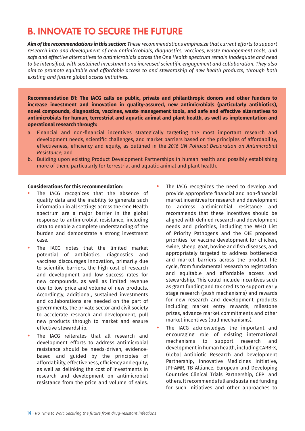# **B. INNOVATE TO SECURE THE FUTURE**

*Aim of the recommendations in this section: These recommendations emphasize that current efforts to support research into and development of new antimicrobials, diagnostics, vaccines, waste management tools, and safe and effective alternatives to antimicrobials across the One Health spectrum remain inadequate and need to be intensified, with sustained investment and increased scientific engagement and collaboration. They also aim to promote equitable and affordable access to and stewardship of new health products, through both existing and future global access initiatives.*

**Recommendation B1: The IACG calls on public, private and philanthropic donors and other funders to increase investment and innovation in quality-assured, new antimicrobials (particularly antibiotics), novel compounds, diagnostics, vaccines, waste management tools, and safe and effective alternatives to antimicrobials for human, terrestrial and aquatic animal and plant health, as well as implementation and operational research through:**

- a. Financial and non-financial incentives strategically targeting the most important research and development needs, scientific challenges, and market barriers based on the principles of affordability, effectiveness, efficiency and equity, as outlined in the *2016 UN Political Declaration on Antimicrobial Resistance*; and
- b. Building upon existing Product Development Partnerships in human health and possibly establishing more of them, particularly for terrestrial and aquatic animal and plant health.

### **Considerations for this recommendation**:

- **•** The IACG recognizes that the absence of quality data and the inability to generate such information in all settings across the One Health spectrum are a major barrier in the global response to antimicrobial resistance, including data to enable a complete understanding of the burden and demonstrate a strong investment case.
- **•** The IACG notes that the limited market potential of antibiotics, diagnostics and vaccines discourages innovation, primarily due to scientific barriers, the high cost of research and development and low success rates for new compounds, as well as limited revenue due to low price and volume of new products. Accordingly, additional, sustained investments and collaborations are needed on the part of governments, the private sector and civil society to accelerate research and development, pull new products through to market and ensure effective stewardship.
- **•** The IACG reiterates that all research and development efforts to address antimicrobial resistance should be needs-driven, evidencebased and guided by the principles of affordability, effectiveness, efficiency and equity, as well as delinking the cost of investments in research and development on antimicrobial resistance from the price and volume of sales.
- **•** The IACG recognizes the need to develop and provide appropriate financial and non-financial market incentives for research and development to address antimicrobial resistance and recommends that these incentives should be aligned with defined research and development needs and priorities, including the WHO List of Priority Pathogens and the OIE proposed priorities for vaccine development for chicken, swine, sheep, goat, bovine and fish diseases, and appropriately targeted to address bottlenecks and market barriers across the product life cycle, from fundamental research to registration and equitable and affordable access and stewardship. This could include incentives such as grant funding and tax credits to support early stage research (push mechanisms) and rewards for new research and development products including market entry rewards, milestone prizes, advance market commitments and other market incentives (pull mechanisms).
- **•** The IACG acknowledges the important and encouraging role of existing international mechanisms to support research and development in human health, including CARB-X, Global Antibiotic Research and Development Partnership, Innovative Medicines Initiative, JPI-AMR, TB Alliance, European and Developing Countries Clinical Trials Partnership, CEPI and others. It recommends full and sustained funding for such initiatives and other approaches to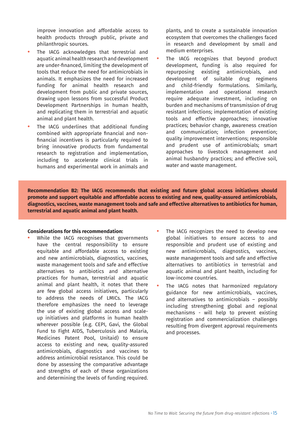improve innovation and affordable access to health products through public, private and philanthropic sources.

- **•** The IACG acknowledges that terrestrial and aquatic animal health research and development are under-financed, limiting the development of tools that reduce the need for antimicrobials in animals. It emphasizes the need for increased funding for animal health research and development from public and private sources, drawing upon lessons from successful Product Development Partnerships in human health, and replicating them in terrestrial and aquatic animal and plant health.
- **•** The IACG underlines that additional funding combined with appropriate financial and nonfinancial incentives is particularly required to bring innovative products from fundamental research to registration and implementation, including to accelerate clinical trials in humans and experimental work in animals and

plants, and to create a sustainable innovation ecosystem that overcomes the challenges faced in research and development by small and medium enterprises.

**•** The IACG recognizes that beyond product development, funding is also required for repurposing existing antimicrobials, and development of suitable drug regimens and child-friendly formulations. Similarly, implementation and operational research require adequate investment, including on burden and mechanisms of transmission of drug resistant infections; implementation of existing tools and effective approaches; innovative practices; behavior change, awareness creation and communication; infection prevention; quality improvement interventions; responsible and prudent use of antimicrobials; smart approaches to livestock management and animal husbandry practices; and effective soil, water and waste management.

**Recommendation B2: The IACG recommends that existing and future global access initiatives should promote and support equitable and affordable access to existing and new, quality-assured antimicrobials, diagnostics, vaccines, waste management tools and safe and effective alternatives to antibiotics for human, terrestrial and aquatic animal and plant health.**

### **Considerations for this recommendation:**

- **•** While the IACG recognises that governments have the central responsibility to ensure equitable and affordable access to existing and new antimicrobials, diagnostics, vaccines, waste management tools and safe and effective alternatives to antibiotics and alternative practices for human, terrestrial and aquatic animal and plant health, it notes that there are few global access initiatives, particularly to address the needs of LMICs. The IACG therefore emphasizes the need to leverage the use of existing global access and scaleup initiatives and platforms in human health wherever possible (e.g. CEPI, Gavi, the Global Fund to Fight AIDS, Tuberculosis and Malaria, Medicines Patent Pool, Unitaid) to ensure access to existing and new, quality-assured antimicrobials, diagnostics and vaccines to address antimicrobial resistance. This could be done by assessing the comparative advantage and strengths of each of these organizations and determining the levels of funding required.
- **•** The IACG recognizes the need to develop new global initiatives to ensure access to and responsible and prudent use of existing and new antimicrobials, diagnostics, vaccines, waste management tools and safe and effective alternatives to antibiotics in terrestrial and aquatic animal and plant health, including for low-income countries.
- **•** The IACG notes that harmonized regulatory guidance for new antimicrobials, vaccines, and alternatives to antimicrobials – possibly including strengthening global and regional mechanisms - will help to prevent existing registration and commercialization challenges resulting from divergent approval requirements and processes.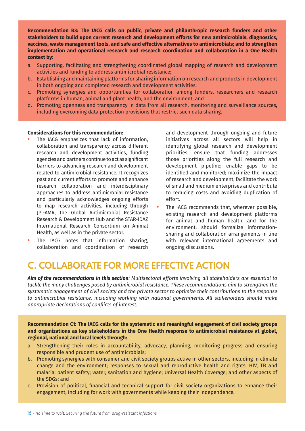**Recommendation B3: The IACG calls on public, private and philanthropic research funders and other stakeholders to build upon current research and development efforts for new antimicrobials, diagnostics, vaccines, waste management tools, and safe and effective alternatives to antimicrobials; and to strengthen implementation and operational research and research coordination and collaboration in a One Health context by:** 

- a. Supporting, facilitating and strengthening coordinated global mapping of research and development activities and funding to address antimicrobial resistance;
- b. Establishing and maintaining platforms for sharing information on research and products in development in both ongoing and completed research and development activities;
- c. Promoting synergies and opportunities for collaboration among funders, researchers and research platforms in human, animal and plant health, and the environment; and
- d. Promoting openness and transparency in data from all research, monitoring and surveillance sources, including overcoming data protection provisions that restrict such data sharing.

### **Considerations for this recommendation:**

- **•** The IACG emphasizes that lack of information, collaboration and transparency across different research and development activities, funding agencies and partners continue to act as significant barriers to advancing research and development related to antimicrobial resistance. It recognizes past and current efforts to promote and enhance research collaboration and interdisciplinary approaches to address antimicrobial resistance and particularly acknowledges ongoing efforts to map research activities, including through JPI-AMR, the Global Antimicrobial Resistance Research & Development Hub and the STAR-IDAZ International Research Consortium on Animal Health, as well as in the private sector.
- **•** The IACG notes that information sharing, collaboration and coordination of research

and development through ongoing and future initiatives across all sectors will help in identifying global research and development priorities; ensure that funding addresses those priorities along the full research and development pipeline; enable gaps to be identified and monitored; maximize the impact of research and development; facilitate the work of small and medium enterprises and contribute to reducing costs and avoiding duplication of effort.

**•** The IACG recommends that, wherever possible, existing research and development platforms for animal and human health, and for the environment, should formalize informationsharing and collaboration arrangements in line with relevant international agreements and ongoing discussions.

## **C. COLLABORATE FOR MORE EFFECTIVE ACTION**

*Aim of the recommendations in this section: Multisectoral efforts involving all stakeholders are essential to tackle the many challenges posed by antimicrobial resistance. These recommendations aim to strengthen the systematic engagement of civil society and the private sector to optimize their contributions to the response to antimicrobial resistance, including working with national governments. All stakeholders should make appropriate declarations of conflicts of interest.*

**Recommendation C1: The IACG calls for the systematic and meaningful engagement of civil society groups and organizations as key stakeholders in the One Health response to antimicrobial resistance at global, regional, national and local levels through:**

- a. Strengthening their roles in accountability, advocacy, planning, monitoring progress and ensuring responsible and prudent use of antimicrobials;
- b. Promoting synergies with consumer and civil society groups active in other sectors, including in climate change and the environment; responses to sexual and reproductive health and rights; HIV, TB and malaria; patient safety; water, sanitation and hygiene; Universal Health Coverage; and other aspects of the SDGs; and
- c. Provision of political, financial and technical support for civil society organizations to enhance their engagement, including for work with governments while keeping their independence.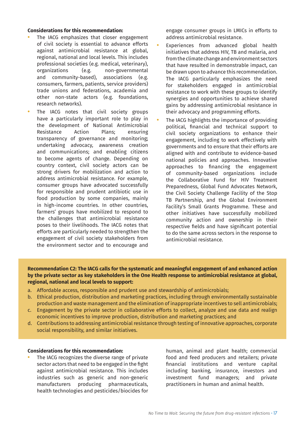### **Considerations for this recommendation:**

- **•** The IACG emphasizes that closer engagement of civil society is essential to advance efforts against antimicrobial resistance at global, regional, national and local levels. This includes professional societies (e.g. medical, veterinary), organizations (e.g. non-governmental and community-based), associations (e.g. consumers, farmers, patients, service providers) trade unions and federations, academia and other non-state actors (e.g. foundations, research networks).
- **•** The IACG notes that civil society groups have a particularly important role to play in the development of National Antimicrobial Resistance Action Plans; ensuring transparency of governance and monitoring; undertaking advocacy, awareness creation and communications; and enabling citizens to become agents of change. Depending on country context, civil society actors can be strong drivers for mobilization and action to address antimicrobial resistance. For example, consumer groups have advocated successfully for responsible and prudent antibiotic use in food production by some companies, mainly in high-income countries. In other countries, farmers' groups have mobilized to respond to the challenges that antimicrobial resistance poses to their livelihoods. The IACG notes that efforts are particularly needed to strengthen the engagement of civil society stakeholders from the environment sector and to encourage and

engage consumer groups in LMICs in efforts to address antimicrobial resistance.

- **•** Experiences from advanced global health initiatives that address HIV, TB and malaria, and from the climate change and environment sectors that have resulted in demonstrable impact, can be drawn upon to advance this recommendation. The IACG particularly emphasizes the need for stakeholders engaged in antimicrobial resistance to work with these groups to identify synergies and opportunities to achieve shared gains by addressing antimicrobial resistance in their advocacy and programming efforts.
	- **•** The IACG highlights the importance of providing political, financial and technical support to civil society organizations to enhance their engagement, including to work effectively with governments and to ensure that their efforts are aligned with and contribute to evidence-based national policies and approaches. Innovative approaches to financing the engagement of community-based organizations include the Collaborative Fund for HIV Treatment Preparedness, Global Fund Advocates Network, the Civil Society Challenge Facility of the Stop TB Partnership, and the Global Environment Facility's Small Grants Programme. These and other initiatives have successfully mobilized community action and ownership in their respective fields and have significant potential to do the same across sectors in the response to antimicrobial resistance.

### **Recommendation C2: The IACG calls for the systematic and meaningful engagement of and enhanced action by the private sector as key stakeholders in the One Health response to antimicrobial resistance at global, regional, national and local levels to support:**

- a. Affordable access, responsible and prudent use and stewardship of antimicrobials;
- b. Ethical production, distribution and marketing practices, including through environmentally sustainable production and waste management and the elimination of inappropriate incentives to sell antimicrobials;
- c. Engagement by the private sector in collaborative efforts to collect, analyze and use data and realign economic incentives to improve production, distribution and marketing practices; and
- d. Contributions to addressing antimicrobial resistance through testing of innovative approaches, corporate social responsibility, and similar initiatives.

### **Considerations for this recommendation:**

**•** The IACG recognizes the diverse range of private sector actors that need to be engaged in the fight against antimicrobial resistance. This includes industries such as generic and non-generic manufacturers producing pharmaceuticals, health technologies and pesticides/biocides for

human, animal and plant health; commercial food and feed producers and retailers; private financial institutions and venture capital including banking, insurance, investors and investment fund managers; and private practitioners in human and animal health.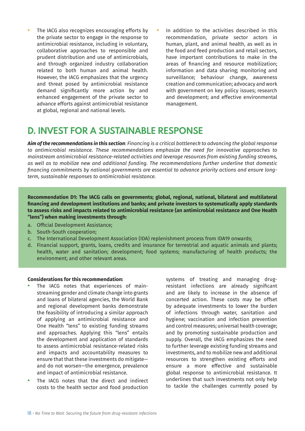- **•** The IACG also recognizes encouraging efforts by the private sector to engage in the response to antimicrobial resistance, including in voluntary, collaborative approaches to responsible and prudent distribution and use of antimicrobials, and through organized industry collaboration related to both human and animal health. However, the IACG emphasizes that the urgency and threat posed by antimicrobial resistance demand significantly more action by and enhanced engagement of the private sector to advance efforts against antimicrobial resistance at global, regional and national levels.
- **•** In addition to the activities described in this recommendation, private sector actors in human, plant, and animal health, as well as in the food and feed production and retail sectors, have important contributions to make in the areas of financing and resource mobilization; information and data sharing; monitoring and surveillance; behaviour change, awareness creation and communication; advocacy and work with government on key policy issues; research and development; and effective environmental management.

## **D. INVEST FOR A SUSTAINABLE RESPONSE**

*Aim of the recommendations in this section: Financing is a critical bottleneck to advancing the global response to antimicrobial resistance. These recommendations emphasize the need for innovative approaches to mainstream antimicrobial resistance-related activities and leverage resources from existing funding streams, as well as to mobilize new and additional funding. The recommendations further underline that domestic financing commitments by national governments are essential to advance priority actions and ensure longterm, sustainable responses to antimicrobial resistance.* 

**Recommendation D1: The IACG calls on governments; global, regional, national, bilateral and multilateral financing and development institutions and banks; and private investors to systematically apply standards to assess risks and impacts related to antimicrobial resistance (an antimicrobial resistance and One Health "lens") when making investments through:**

- a. Official Development Assistance;
- b. South-South cooperation;
- c. The International Development Association (IDA) replenishment process from IDA19 onwards;
- d. Financial support, grants, loans, credits and insurance for terrestrial and aquatic animals and plants; health, water and sanitation; development; food systems; manufacturing of health products; the environment; and other relevant areas.

### **Considerations for this recommendation:**

- **•** The IACG notes that experiences of mainstreaming gender and climate change into grants and loans of bilateral agencies, the World Bank and regional development banks demonstrate the feasibility of introducing a similar approach of applying an antimicrobial resistance and One Health "lens" to existing funding streams and approaches. Applying this "lens" entails the development and application of standards to assess antimicrobial resistance-related risks and impacts and accountability measures to ensure that that these investments do mitigate and do not worsen—the emergence, prevalence and impact of antimicrobial resistance.
- **•** The IACG notes that the direct and indirect costs to the health sector and food production

systems of treating and managing drugresistant infections are already significant and are likely to increase in the absence of concerted action. These costs may be offset by adequate investments to lower the burden of infections through water, sanitation and hygiene; vaccination and infection prevention and control measures; universal health coverage; and by promoting sustainable production and supply. Overall, the IACG emphasizes the need to further leverage existing funding streams and investments, and to mobilize new and additional resources to strengthen existing efforts and ensure a more effective and sustainable global response to antimicrobial resistance. It underlines that such investments not only help to tackle the challenges currently posed by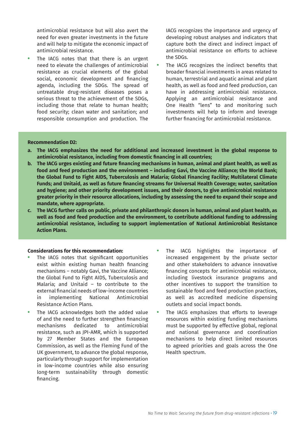antimicrobial resistance but will also avert the need for even greater investments in the future and will help to mitigate the economic impact of antimicrobial resistance.

The IACG notes that that there is an urgent need to elevate the challenges of antimicrobial resistance as crucial elements of the global social, economic development and financing agenda, including the SDGs. The spread of untreatable drug-resistant diseases poses a serious threat to the achievement of the SDGs, including those that relate to human health; food security; clean water and sanitation; and responsible consumption and production. The

IACG recognizes the importance and urgency of developing robust analyses and indicators that capture both the direct and indirect impact of antimicrobial resistance on efforts to achieve the SDGs.

**•** The IACG recognizes the indirect benefits that broader financial investments in areas related to human, terrestrial and aquatic animal and plant health, as well as food and feed production, can have in addressing antimicrobial resistance. Applying an antimicrobial resistance and One Health "lens" to and monitoring such investments will help to inform and leverage further financing for antimicrobial resistance.

### **Recommendation D2:**

- **a. The IACG emphasizes the need for additional and increased investment in the global response to antimicrobial resistance, including from domestic financing in all countries;**
- **b. The IACG urges existing and future financing mechanisms in human, animal and plant health, as well as food and feed production and the environment – including Gavi, the Vaccine Alliance; the World Bank; the Global Fund to Fight AIDS, Tuberculosis and Malaria; Global Financing Facility; Multilateral Climate Funds; and Unitaid, as well as future financing streams for Universal Health Coverage; water, sanitation and hygiene; and other priority development issues, and their donors, to give antimicrobial resistance greater priority in their resource allocations, including by assessing the need to expand their scope and mandate, where appropriate.**
- **c. The IACG further calls on public, private and philanthropic donors in human, animal and plant health, as well as food and feed production and the environment, to contribute additional funding to addressing antimicrobial resistance, including to support implementation of National Antimicrobial Resistance Action Plans.**

### **Considerations for this recommendation:**

- **•** The IACG notes that significant opportunities exist within existing human health financing mechanisms – notably Gavi, the Vaccine Alliance; the Global Fund to Fight AIDS, Tuberculosis and Malaria; and Unitaid – to contribute to the external financial needs of low-income countries in implementing National Antimicrobial Resistance Action Plans.
- **•** The IACG acknowledges both the added value of and the need to further strengthen financing mechanisms dedicated to antimicrobial resistance, such as JPI-AMR, which is supported by 27 Member States and the European Commission, as well as the Fleming Fund of the UK government, to advance the global response, particularly through support for implementation in low-income countries while also ensuring long-term sustainability through domestic financing.
- **•** The IACG highlights the importance of increased engagement by the private sector and other stakeholders to advance innovative financing concepts for antimicrobial resistance, including livestock insurance programs and other incentives to support the transition to sustainable food and feed production practices, as well as accredited medicine dispensing outlets and social impact bonds.
- **•** The IACG emphasizes that efforts to leverage resources within existing funding mechanisms must be supported by effective global, regional and national governance and coordination mechanisms to help direct limited resources to agreed priorities and goals across the One Health spectrum.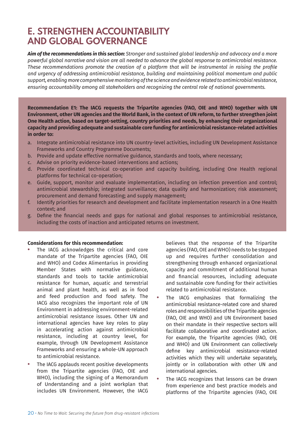## **E. STRENGTHEN ACCOUNTABILITY AND GLOBAL GOVERNANCE**

*Aim of the recommendations in this section: Stronger and sustained global leadership and advocacy and a more powerful global narrative and vision are all needed to advance the global response to antimicrobial resistance. These recommendations promote the creation of a platform that will be instrumental in raising the profile and urgency of addressing antimicrobial resistance, building and maintaining political momentum and public support, enabling more comprehensive monitoring of the science and evidence related to antimicrobial resistance, ensuring accountability among all stakeholders and recognizing the central role of national governments.* 

**Recommendation E1: The IACG requests the Tripartite agencies (FAO, OIE and WHO) together with UN Environment, other UN agencies and the World Bank, in the context of UN reform, to further strengthen joint One Health action, based on target-setting, country priorities and needs, by enhancing their organizational capacity and providing adequate and sustainable core funding for antimicrobial resistance-related activities in order to:** 

- a. Integrate antimicrobial resistance into UN country-level activities, including UN Development Assistance Frameworks and Country Programme Documents;
- b. Provide and update effective normative guidance, standards and tools, where necessary;
- c. Advise on priority evidence-based interventions and actions;
- d. Provide coordinated technical co-operation and capacity building, including One Health regional platforms for technical co-operation;
- e. Guide, support, monitor and evaluate implementation, including on infection prevention and control; antimicrobial stewardship; integrated surveillance; data quality and harmonization; risk assessment; procurement and demand forecasting; and supply management;
- f. Identify priorities for research and development and facilitate implementation research in a One Health context; and
- g. Define the financial needs and gaps for national and global responses to antimicrobial resistance, including the costs of inaction and anticipated returns on investment.

### **Considerations for this recommendation:**

- **•** The IACG acknowledges the critical and core mandate of the Tripartite agencies (FAO, OIE and WHO) and Codex Alimentarius in providing Member States with normative guidance, standards and tools to tackle antimicrobial resistance for human, aquatic and terrestrial animal and plant health, as well as in food and feed production and food safety. The IACG also recognizes the important role of UN Environment in addressing environment-related antimicrobial resistance issues. Other UN and international agencies have key roles to play in accelerating action against antimicrobial resistance, including at country level, for example, through UN Development Assistance Frameworks and ensuring a whole-UN approach to antimicrobial resistance.
- **•** The IACG applauds recent positive developments from the Tripartite agencies (FAO, OIE and WHO), including the signing of a Memorandum of Understanding and a joint workplan that includes UN Environment. However, the IACG

believes that the response of the Tripartite agencies (FAO, OIE and WHO) needs to be stepped up and requires further consolidation and strengthening through enhanced organizational capacity and commitment of additional human and financial resources, including adequate and sustainable core funding for their activities related to antimicrobial resistance.

- **•** The IACG emphasizes that formalizing the antimicrobial resistance-related core and shared roles and responsibilities of the Tripartite agencies (FAO, OIE and WHO) and UN Environment based on their mandate in their respective sectors will facilitate collaborative and coordinated action. For example, the Tripartite agencies (FAO, OIE and WHO) and UN Environment can collectively define key antimicrobial resistance-related activities which they will undertake separately, jointly or in collaboration with other UN and international agencies.
- **•** The IACG recognizes that lessons can be drawn from experience and best practice models and platforms of the Tripartite agencies (FAO, OIE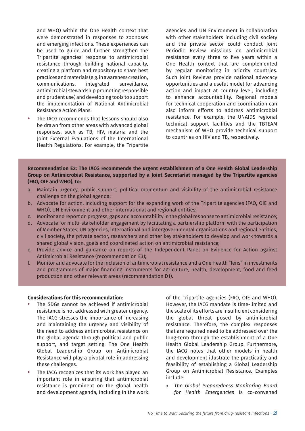and WHO) within the One Health context that were demonstrated in responses to zoonoses and emerging infections. These experiences can be used to guide and further strengthen the Tripartite agencies' response to antimicrobial resistance through building national capacity, creating a platform and repository to share best practices and materials (e.g. in awareness creation, communications, integrated surveillance, antimicrobial stewardship promoting responsible and prudent use) and developing tools to support the implementation of National Antimicrobial Resistance Action Plans.

**•** The IACG recommends that lessons should also be drawn from other areas with advanced global responses, such as TB, HIV, malaria and the Joint External Evaluations of the International Health Regulations. For example, the Tripartite

agencies and UN Environment in collaboration with other stakeholders including civil society and the private sector could conduct Joint Periodic Review missions on antimicrobial resistance every three to five years within a One Health context that are complemented by regular monitoring in priority countries. Such Joint Reviews provide national advocacy opportunities and a useful model for advancing action and impact at country level, including to enhance accountability. Regional models for technical cooperation and coordination can also inform efforts to address antimicrobial resistance. For example, the UNAIDS regional technical support facilities and the TBTEAM mechanism of WHO provide technical support to countries on HIV and TB, respectively.

### **Recommendation E2: The IACG recommends the urgent establishment of a One Health Global Leadership Group on Antimicrobial Resistance, supported by a Joint Secretariat managed by the Tripartite agencies (FAO, OIE and WHO), to:**

- a. Maintain urgency, public support, political momentum and visibility of the antimicrobial resistance challenge on the global agenda;
- b. Advocate for action, including support for the expanding work of the Tripartite agencies (FAO, OIE and WHO), UN Environment and other international and regional entities;
- c. Monitor and report on progress, gaps and accountability in the global response to antimicrobial resistance;
- d. Advocate for multi-stakeholder engagement by facilitating a partnership platform with the participation of Member States, UN agencies, international and intergovernmental organisations and regional entities, civil society, the private sector, researchers and other key stakeholders to develop and work towards a shared global vision, goals and coordinated action on antimicrobial resistance;
- e. Provide advice and guidance on reports of the Independent Panel on Evidence for Action against Antimicrobial Resistance (recommendation E3);
- f. Monitor and advocate for the inclusion of antimicrobial resistance and a One Health "lens" in investments and programmes of major financing instruments for agriculture, health, development, food and feed production and other relevant areas (recommendation D1).

### **Considerations for this recommendation**:

- **•** The SDGs cannot be achieved if antimicrobial resistance is not addressed with greater urgency. The IACG stresses the importance of increasing and maintaining the urgency and visibility of the need to address antimicrobial resistance on the global agenda through political and public support, and target setting. The One Health Global Leadership Group on Antimicrobial Resistance will play a pivotal role in addressing these challenges.
- **•** The IACG recognizes that its work has played an important role in ensuring that antimicrobial resistance is prominent on the global health and development agenda, including in the work

of the Tripartite agencies (FAO, OIE and WHO). However, the IACG mandate is time-limited and the scale of its efforts are insufficient considering the global threat posed by antimicrobial resistance. Therefore, the complex responses that are required need to be addressed over the long-term through the establishment of a One Health Global Leadership Group. Furthermore, the IACG notes that other models in health and development illustrate the practicality and feasibility of establishing a Global Leadership Group on Antimicrobial Resistance. Examples include:

o *The Global Preparedness Monitoring Board for Health Emergencies* is co-convened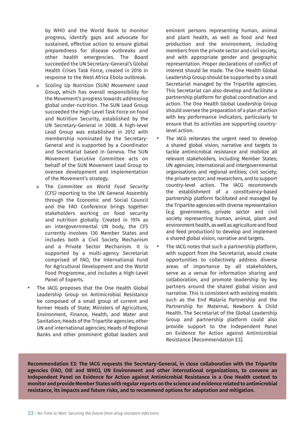by WHO and the World Bank to monitor progress, identify gaps and advocate for sustained, effective action to ensure global preparedness for disease outbreaks and other health emergencies. The Board succeeded the UN Secretary-General's Global Health Crises Task Force, created in 2016 in response to the West Africa Ebola outbreak.

- o *Scaling Up Nutrition (SUN) Movement Lead Group***,** which has overall responsibility for the Movement's progress towards addressing global under-nutrition. The SUN Lead Group succeeded the High-Level Task Force on Food and Nutrition Security, established by the UN Secretary-General in 2008. A high-level Lead Group was established in 2012 with membership nominated by the Secretary-General and is supported by a Coordinator and Secretariat based in Geneva. The SUN Movement Executive Committee acts on behalf of the SUN Movement Lead Group to oversee development and implementation of the Movement's strategy.
- o The *Committee on World Food Security (CFS)* reporting to the UN General Assembly through the Economic and Social Council and the FAO Conference brings together stakeholders working on food security and nutrition globally. Created in 1974 as an intergovernmental UN body, the CFS currently involves 130 Member States and includes both a Civil Society Mechanism and a Private Sector Mechanism. It is supported by a multi-agency Secretariat comprised of FAO, the International Fund for Agricultural Development and the World Food Programme, and includes a High-Level Panel of Experts.
- **•** The IACG proposes that the One Health Global Leadership Group on Antimicrobial Resistance be composed of a small group of current and former Heads of State; Ministers of Agriculture, Environment, Finance, Health, and Water and Sanitation; Heads of the Tripartite agencies; other UN and international agencies; Heads of Regional Banks and other prominent global leaders and

eminent persons representing human, animal and plant health, as well as food and feed production and the environment, including members from the private sector and civil society, and with appropriate gender and geographic representation. Proper declarations of conflict of interest should be made. The One Health Global Leadership Group should be supported by a small Secretariat managed by the Tripartite agencies. This Secretariat can also develop and facilitate a partnership platform for global coordination and action. The One Health Global Leadership Group should oversee the preparation of a plan of action with key performance indicators, particularly to ensure that its activities are supporting countrylevel action.

- The IACG reiterates the urgent need to develop a shared global vision, narrative and targets to tackle antimicrobial resistance and mobilize all relevant stakeholders, including Member States; UN agencies; international and intergovernmental organisations and regional entities; civil society; the private sector; and researchers, and to support country-level action. The IACG recommends the establishment of a constituency-based partnership platform facilitated and managed by the Tripartite agencies with diverse representation (e.g. governments, private sector and civil society representing human, animal, plant and environment health, as well as agriculture and food and feed production) to develop and implement a shared global vision, narrative and targets.
- **•** The IACG notes that such a partnership platform, with support from the Secretariat, would create opportunities to collectively address diverse areas of importance by all stakeholders, serve as a venue for information sharing and collaboration, and promote leadership by key partners around the shared global vision and narrative. This is consistent with existing models such as the End Malaria Partnership and the Partnership for Maternal, Newborn & Child Health. The Secretariat of the Global Leadership Group and partnership platform could also provide support to the Independent Panel on Evidence for Action against Antimicrobial Resistance [Recommendation E3].

**Recommendation E3: The IACG requests the Secretary-General, in close collaboration with the Tripartite agencies (FAO, OIE and WHO), UN Environment and other international organizations, to convene an Independent Panel on Evidence for Action against Antimicrobial Resistance in a One Health context to monitor and provide Member States with regular reports on the science and evidence related to antimicrobial resistance, its impacts and future risks, and to recommend options for adaptation and mitigation.**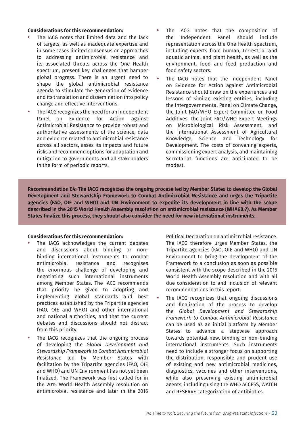### **Considerations for this recommendation:**

- **•** The IACG notes that limited data and the lack of targets, as well as inadequate expertise and in some cases limited consensus on approaches to addressing antimicrobial resistance and its associated threats across the One Health spectrum, present key challenges that hamper global progress. There is an urgent need to shape the global antimicrobial resistance agenda to stimulate the generation of evidence and its translation and dissemination into policy change and effective interventions.
- **•** The IACG recognizes the need for an Independent Panel on Evidence for Action against Antimicrobial Resistance to provide robust and authoritative assessments of the science, data and evidence related to antimicrobial resistance across all sectors, asses its impacts and future risks and recommend options for adaptation and mitigation to governments and all stakeholders in the form of periodic reports.
- **•** The IACG notes that the composition of the Independent Panel should include representation across the One Health spectrum, including experts from human, terrestrial and aquatic animal and plant health, as well as the environment, food and feed production and food safety sectors.
- **•** The IACG notes that the Independent Panel on Evidence for Action against Antimicrobial Resistance should draw on the experiences and lessons of similar, existing entities, including the Intergovernmental Panel on Climate Change, the Joint FAO/WHO Expert Committee on Food Additives, the Joint FAO/WHO Expert Meetings on Microbiological Risk Assessment, and the International Assessment of Agricultural Knowledge, Science and Technology for Development. The costs of convening experts, commissioning expert analysis, and maintaining Secretariat functions are anticipated to be modest.

**Recommendation E4: The IACG recognizes the ongoing process led by Member States to develop the Global Development and Stewardship Framework to Combat Antimicrobial Resistance and urges the Tripartite agencies (FAO, OIE and WHO) and UN Environment to expedite its development in line with the scope described in the 2015 World Health Assembly resolution on antimicrobial resistance (WHA68.7). As Member States finalize this process, they should also consider the need for new international instruments.**

### **Considerations for this recommendation:**

- **•** The IACG acknowledges the current debates and discussions about binding or nonbinding international instruments to combat antimicrobial resistance and recognises the enormous challenge of developing and negotiating such international instruments among Member States. The IACG recommends that priority be given to adopting and implementing global standards and best practices established by the Tripartite agencies (FAO, OIE and WHO) and other international and national authorities, and that the current debates and discussions should not distract from this priority.
- **•** The IACG recognizes that the ongoing process of developing the *Global Development and Stewardship Framework to Combat Antimicrobial Resistance* led by Member States with facilitation by the Tripartite agencies (FAO, OIE and WHO) and UN Environment has not yet been finalized. The Framework was first called for in the 2015 World Health Assembly resolution on antimicrobial resistance and later in the 2016

Political Declaration on antimicrobial resistance. The IACG therefore urges Member States, the Tripartite agencies (FAO, OIE and WHO) and UN Environment to bring the development of the Framework to a conclusion as soon as possible consistent with the scope described in the 2015 World Health Assembly resolution and with all due consideration to and inclusion of relevant recommendations in this report.

**•** The IACG recognizes that ongoing discussions and finalization of the process to develop the *Global Development and Stewardship Framework to Combat Antimicrobial Resistance* can be used as an initial platform by Member States to advance a stepwise approach towards potential new, binding or non-binding international instruments. Such instruments need to include a stronger focus on supporting the distribution, responsible and prudent use of existing and new antimicrobial medicines, diagnostics, vaccines and other interventions, while also preserving existing antimicrobial agents, including using the WHO ACCESS, WATCH and RESERVE categorization of antibiotics.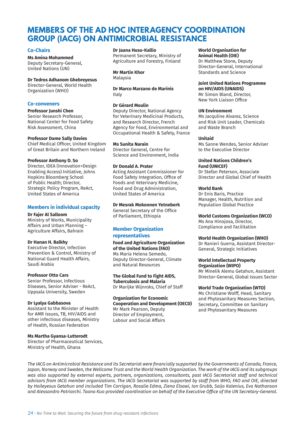### <span id="page-25-0"></span>**MEMBERS OF THE AD HOC INTERAGENCY COORDINATION GROUP (IACG) ON ANTIMICROBIAL RESISTANCE**

### **Co-Chairs**

### **Ms Amina Mohammed**

Deputy Secretary-General, United Nations (UN)

### **Dr Tedros Adhanom Ghebreyesus**

Director-General, World Health Organization (WHO)

### **Co-conveners**

**Professor Junshi Chen** Senior Research Professor, National Center for Food Safety Risk Assessment, China

### **Professor Dame Sally Davies**

Chief Medical Officer, United Kingdom of Great Britain and Northern Ireland

### **Professor Anthony D. So**

Director, IDEA (Innovation+Design Enabling Access) Initiative, Johns Hopkins Bloomberg School of Public Health; Director, Strategic Policy Program, ReAct, United States of America

### **Members in individual capacity**

#### **Dr Fajer Al Salloom**

Ministry of Works, Municipality Affairs and Urban Planning – Agriculture Affairs, Bahrain

#### **Dr Hanan H. Balkhy**

Executive Director, Infection Prevention & Control, Ministry of National Guard Health Affairs, Saudi Arabia

#### **Professor Otto Cars**

Senior Professor, Infectious Diseases, Senior Adviser - ReAct, Uppsala University, Sweden

#### **Dr Lyalya Gabbasova**

Assistant to the Minister of Health for AMR issues, TB, HIV/AIDS and other infectious diseases, Ministry of Health, Russian Federation

### **Ms Martha Gyansa-Lutterodt**

Director of Pharmaceutical Services, Ministry of Health, Ghana

### **Dr Jaana Husu-Kallio**

Permanent Secretary, Ministry of Agriculture and Forestry, Finland

**Mr Martin Khor** Malaysia

**Dr Marco Marzano de Marinis** Italy

### **Dr Gérard Moulin**

Deputy Director, National Agency for Veterinary Medicinal Products, and Research Director, French Agency for Food, Environmental and Occupational Health & Safety, France

### **Ms Sunita Narain**

Director General, Centre for Science and Environment, India

### **Dr Donald A. Prater**

Acting Assistant Commissioner for Food Safety Integration, Office of Foods and Veterinary Medicine, Food and Drug Administration, United States of America

**Dr Mesrak Mokonnen Yetneberk** General Secretary of the Office of Parliament, Ethiopia

### **Member Organization representatives**

**Food and Agriculture Organization of the United Nations (FAO)** Ms Maria Helena Semedo, Deputy Director-General, Climate and Natural Resources

**The Global Fund to Fight AIDS, Tuberculosis and Malaria** Dr Marijke Wijnroks, Chief of Staff

**Organization for Economic Cooperation and Development (OECD)** Mr Mark Pearson, Deputy Director of Employment, Labour and Social Affairs

#### **World Organisation for Animal Health (OIE)**

Dr Matthew Stone, Deputy Director-General, International Standards and Science

### **Joint United Nations Programme**

**on HIV/AIDS (UNAIDS)** Mr Simon Bland, Director, New York Liaison Office

### **UN Environment**

Ms Jacquline Alvarez, Science and Risk Unit Leader, Chemicals and Waste Branch

### **Unitaid**

Ms Sanne Wendes, Senior Adviser to the Executive Director

#### **United Nations Children's Fund (UNICEF)**

Dr Stefan Peterson, Associate Director and Global Chief of Health

### **World Bank**

Dr Enis Baris, Practice Manager, Health, Nutrition and Population Global Practice

**World Customs Organization (WCO)**

Ms Ana Hinojosa, Director, Compliance and Facilitation

### **World Health Organization (WHO)**

Dr Ranieri Guerra, Assistant Director-General, Strategic Initiatives

#### **World Intellectual Property Organization (WIPO)**

Mr Minelik Alemu Getahun, Assistant Director-General, Global Issues Sector

### **World Trade Organization (WTO)**

Ms Christiane Wolff, Head, Sanitary and Phytosanitary Measures Section, Secretary, Committee on Sanitary and Phytosanitary Measures

*The IACG on Antimicrobial Resistance and its Secretariat were financially supported by the Governments of Canada, France, Japan, Norway and Sweden, the Wellcome Trust and the World Health Organization. The work of the IACG and its subgroups was also supported by external experts, partners, organizations, consultants, past IACG Secretariat staff and technical advisors from IACG member organizations. The IACG Secretariat was supported by staff from WHO, FAO and OIE, directed by Haileyesus Getahun and included Tim Corrigan, Rosalie Edma, Ziena Elsawi, Ian Grubb, Saija Kalenius, Eva Nathanson and Alessandro Patriarchi. Taona Kuo provided coordination on behalf of the Executive Office of the UN Secretary-General.*